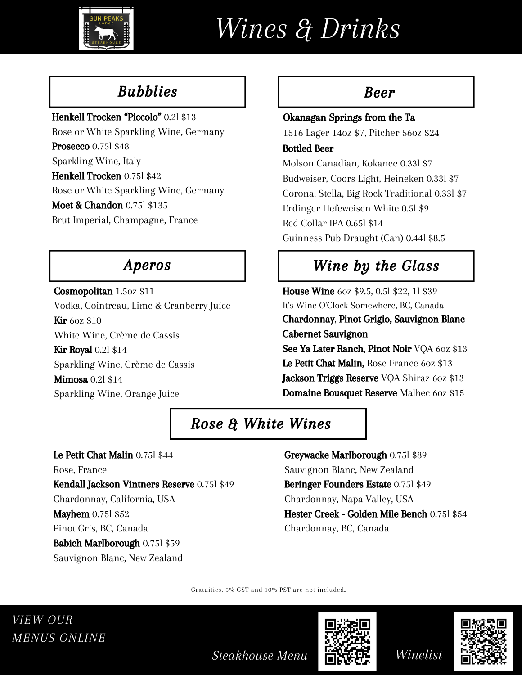

# *Wines & Drinks*

## Bubblies

#### Henkell Trocken "Piccolo" 0.2l \$13

Rose or White Sparkling Wine, Germany **Prosecco** 0.751 \$48 Sparkling Wine, Italy Henkell Trocken 0.75l \$42 Rose or White Sparkling Wine, Germany Moet & Chandon 0.75l \$135 Brut Imperial, Champagne, France

### Aperos

Cosmopolitan 1.5oz \$11 Vodka, Cointreau, Lime & Cranberry Juice **Kir** 60z \$10 White Wine, Crème de Cassis **Kir Royal 0.21 \$14** Sparkling Wine, Crème de Cassis **Mimosa 0.21 \$14** Sparkling Wine, Orange Juice

#### Beer

## Okanagan Springs from the Ta

1516 Lager 14oz \$7, Pitcher 56oz \$24

#### Bottled Beer

Molson Canadian, Kokanee 0.33l \$7 Budweiser, Coors Light, Heineken 0.33l \$7 Corona, Stella, Big Rock Traditional 0.33l \$7 Erdinger Hefeweisen White 0.5l \$9 Red Collar IPA 0.65l \$14 Guinness Pub Draught (Can) 0.44l \$8.5

## Wine by the Glass

House Wine 6oz \$9.5, 0.5l \$22, 1l \$39 It's Wine O'Clock Somewhere, BC, Canada Chardonnay, Pinot Grigio, Sauvignon Blanc Cabernet Sauvignon See Ya Later Ranch, Pinot Noir VQA 60z \$13 Le Petit Chat Malin, Rose France 60z \$13 Jackson Triggs Reserve VQA Shiraz 60z \$13 Domaine Bousquet Reserve Malbec 6oz \$15

## Rose & White Wines

Le Petit Chat Malin 0.75l \$44 Rose, France Kendall Jackson Vintners Reserve 0.75l \$49 Chardonnay, California, USA **Mayhem 0.75l \$52** Pinot Gris, BC, Canada Babich Marlborough 0.75l \$59 Sauvignon Blanc, New Zealand

Greywacke Marlborough 0.75l \$89 Sauvignon Blanc, New Zealand Beringer Founders Estate 0.75l \$49 Chardonnay, Napa Valley, USA Hester Creek - Golden Mile Bench 0.75l \$54 Chardonnay, BC, Canada

Gratuities, 5% GST and 10% PST are not included.







*Steakhouse Menu*